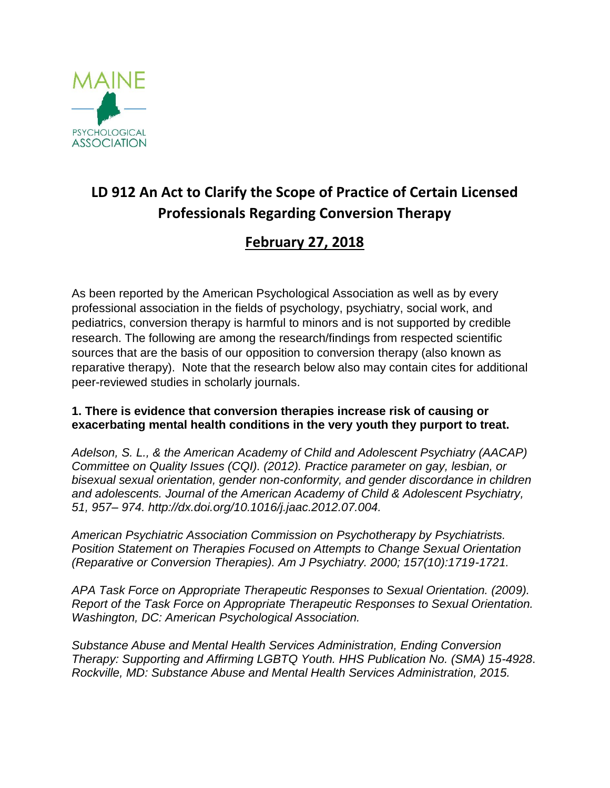

## **LD 912 An Act to Clarify the Scope of Practice of Certain Licensed Professionals Regarding Conversion Therapy**

## **February 27, 2018**

As been reported by the American Psychological Association as well as by every professional association in the fields of psychology, psychiatry, social work, and pediatrics, conversion therapy is harmful to minors and is not supported by credible research. The following are among the research/findings from respected scientific sources that are the basis of our opposition to conversion therapy (also known as reparative therapy). Note that the research below also may contain cites for additional peer-reviewed studies in scholarly journals.

## **1. There is evidence that conversion therapies increase risk of causing or exacerbating mental health conditions in the very youth they purport to treat.**

*Adelson, S. L., & the American Academy of Child and Adolescent Psychiatry (AACAP) Committee on Quality Issues (CQI). (2012). Practice parameter on gay, lesbian, or bisexual sexual orientation, gender non-conformity, and gender discordance in children and adolescents. Journal of the American Academy of Child & Adolescent Psychiatry, 51, 957– 974. http://dx.doi.org/10.1016/j.jaac.2012.07.004.*

*American Psychiatric Association Commission on Psychotherapy by Psychiatrists. Position Statement on Therapies Focused on Attempts to Change Sexual Orientation (Reparative or Conversion Therapies). Am J Psychiatry. 2000; 157(10):1719-1721.*

*APA Task Force on Appropriate Therapeutic Responses to Sexual Orientation. (2009). Report of the Task Force on Appropriate Therapeutic Responses to Sexual Orientation. Washington, DC: American Psychological Association.*

*Substance Abuse and Mental Health Services Administration, Ending Conversion Therapy: Supporting and Affirming LGBTQ Youth. HHS Publication No. (SMA) 15-4928*. *Rockville, MD: Substance Abuse and Mental Health Services Administration, 2015.*